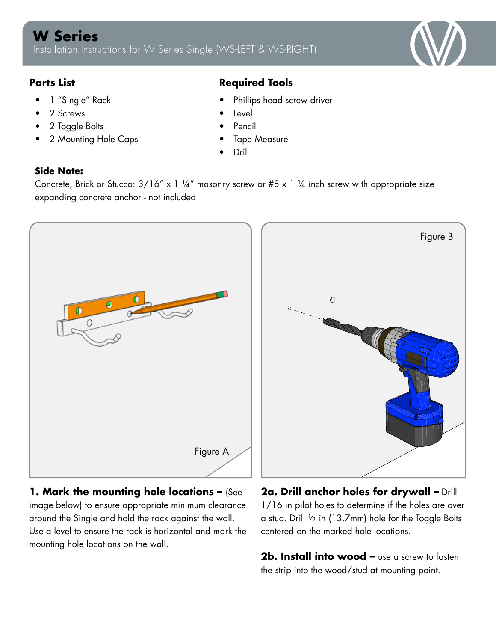

- 1 "Single" Rack
- 2 Screws
- 2 Toggle Bolts
- 2 Mounting Hole Caps

## **Parts List Required Tools**

- Phillips head screw driver
- **Level**
- Pencil
- **Tape Measure**
- Drill

## **Side Note:**

Concrete, Brick or Stucco:  $3/16''$  x 1 ¼" masonry screw or #8 x 1 ¼ inch screw with appropriate size expanding concrete anchor - not included



**1. Mark the mounting hole locations –** (See image below) to ensure appropriate minimum clearance around the Single and hold the rack against the wall. Use a level to ensure the rack is horizontal and mark the mounting hole locations on the wall.

**2a. Drill anchor holes for drywall –** Drill 1/16 in pilot holes to determine if the holes are over a stud. Drill ½ in (13.7mm) hole for the Toggle Bolts centered on the marked hole locations.

**2b. Install into wood –** use a screw to fasten the strip into the wood/stud at mounting point.